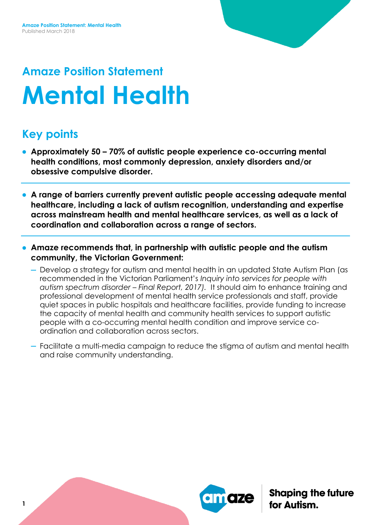# **Amaze Position Statement Mental Health**

## **Key points**

- **Approximately 50 – 70% of autistic people experience co-occurring mental health conditions, most commonly depression, anxiety disorders and/or obsessive compulsive disorder.**
- **A range of barriers currently prevent autistic people accessing adequate mental healthcare, including a lack of autism recognition, understanding and expertise across mainstream health and mental healthcare services, as well as a lack of coordination and collaboration across a range of sectors.**
- **Amaze recommends that, in partnership with autistic people and the autism community, the Victorian Government:**
	- Develop a strategy for autism and mental health in an updated State Autism Plan (as recommended in the Victorian Parliament's *Inquiry into services for people with autism spectrum disorder – Final Report, 2017).* It should aim to enhance training and professional development of mental health service professionals and staff, provide quiet spaces in public hospitals and healthcare facilities, provide funding to increase the capacity of mental health and community health services to support autistic people with a co-occurring mental health condition and improve service coordination and collaboration across sectors.
	- Facilitate a multi-media campaign to reduce the stigma of autism and mental health and raise community understanding.

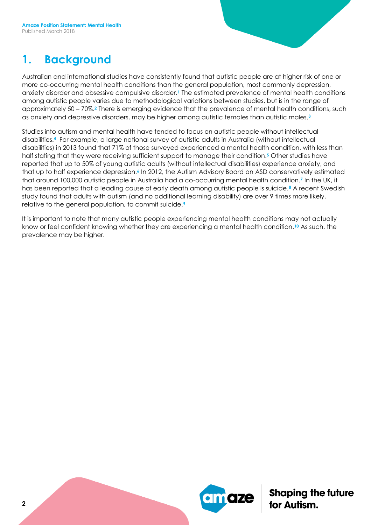### **1. Background**

Australian and international studies have consistently found that autistic people are at higher risk of one or more co-occurring mental health conditions than the general population, most commonly depression, anxiety disorder and obsessive compulsive disorder.**<sup>1</sup>** The estimated prevalence of mental health conditions among autistic people varies due to methodological variations between studies, but is in the range of approximately 50 – 70%.**<sup>2</sup>** There is emerging evidence that the prevalence of mental health conditions, such as anxiety and depressive disorders, may be higher among autistic females than autistic males.**<sup>3</sup>**

Studies into autism and mental health have tended to focus on autistic people without intellectual disabilities.**4** For example, a large national survey of autistic adults in Australia (without intellectual disabilities) in 2013 found that 71% of those surveyed experienced a mental health condition, with less than half stating that they were receiving sufficient support to manage their condition.**<sup>5</sup>** Other studies have reported that up to 50% of young autistic adults (without intellectual disabilities) experience anxiety, and that up to half experience depression.**<sup>6</sup>** In 2012, the Autism Advisory Board on ASD conservatively estimated that around 100,000 autistic people in Australia had a co-occurring mental health condition.**<sup>7</sup>** In the UK, it has been reported that a leading cause of early death among autistic people is suicide.**<sup>8</sup>** A recent Swedish study found that adults with autism (and no additional learning disability) are over 9 times more likely, relative to the general population, to commit suicide.**<sup>9</sup>**

It is important to note that many autistic people experiencing mental health conditions may not actually know or feel confident knowing whether they are experiencing a mental health condition.**<sup>10</sup>** As such, the prevalence may be higher.

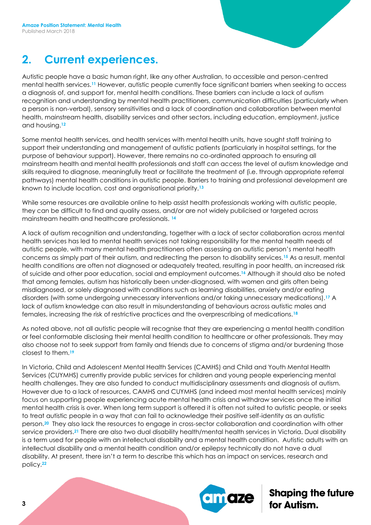### **2. Current experiences.**

Autistic people have a basic human right, like any other Australian, to accessible and person-centred mental health services.**<sup>11</sup>** However, autistic people currently face significant barriers when seeking to access a diagnosis of, and support for, mental health conditions. These barriers can include a lack of autism recognition and understanding by mental health practitioners, communication difficulties (particularly when a person is non-verbal), sensory sensitivities and a lack of coordination and collaboration between mental health, mainstream health, disability services and other sectors, including education, employment, justice and housing.**<sup>12</sup>**

Some mental health services, and health services with mental health units, have sought staff training to support their understanding and management of autistic patients (particularly in hospital settings, for the purpose of behaviour support). However, there remains no co-ordinated approach to ensuring all mainstream health and mental health professionals and staff can access the level of autism knowledge and skills required to diagnose, meaningfully treat or facilitate the treatment of (i.e. through appropriate referral pathways) mental health conditions in autistic people. Barriers to training and professional development are known to include location, cost and organisational priority.**<sup>13</sup>**

While some resources are available online to help assist health professionals working with autistic people, they can be difficult to find and quality assess, and/or are not widely publicised or targeted across mainstream health and healthcare professionals. **<sup>14</sup>**

A lack of autism recognition and understanding, together with a lack of sector collaboration across mental health services has led to mental health services not taking responsibility for the mental health needs of autistic people, with many mental health practitioners often assessing an autistic person's mental health concerns as simply part of their autism, and redirecting the person to disability services.**<sup>15</sup>** As a result, mental health conditions are often not diagnosed or adequately treated, resulting in poor health, an increased risk of suicide and other poor education, social and employment outcomes.**<sup>16</sup>** Although it should also be noted that among females, autism has historically been under-diagnosed, with women and girls often being misdiagnosed, or solely diagnosed with conditions such as learning disabilities, anxiety and/or eating disorders (with some undergoing unnecessary interventions and/or taking unnecessary medications).**<sup>17</sup>** A lack of autism knowledge can also result in misunderstanding of behaviours across autistic males and females, increasing the risk of restrictive practices and the overprescribing of medications.**<sup>18</sup>**

As noted above, not all autistic people will recognise that they are experiencing a mental health condition or feel conformable disclosing their mental health condition to healthcare or other professionals. They may also choose not to seek support from family and friends due to concerns of stigma and/or burdening those closest to them.**<sup>19</sup>**

In Victoria, Child and Adolescent Mental Health Services (CAMHS) and Child and Youth Mental Health Services (CUYMHS) currently provide public services for children and young people experiencing mental health challenges. They are also funded to conduct multidisciplinary assessments and diagnosis of autism. However due to a lack of resources, CAMHS and CUYMHS (and indeed most mental health services) mainly focus on supporting people experiencing acute mental health crisis and withdraw services once the initial mental health crisis is over. When long term support is offered it is often not suited to autistic people, or seeks to treat autistic people in a way that can fail to acknowledge their positive self-identity as an autistic person.**20** They also lack the resources to engage in cross-sector collaboration and coordination with other service providers.**<sup>21</sup>** There are also two dual disability health/mental health services in Victoria. Dual disability is a term used for people with an intellectual disability and a mental health condition. Autistic adults with an intellectual disability and a mental health condition and/or epilepsy technically do not have a dual disability. At present, there isn't a term to describe this which has an impact on services, research and policy.**22**

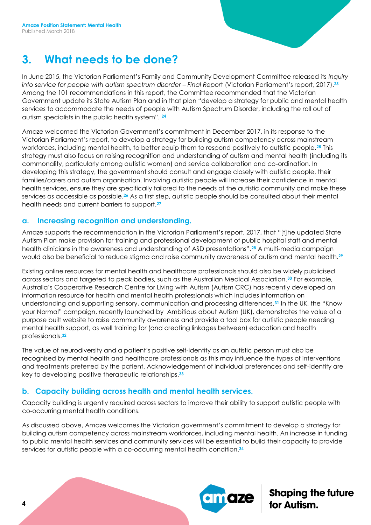### **3. What needs to be done?**

In June 2015, the Victorian Parliament's Family and Community Development Committee released its *Inquiry into service for people with autism spectrum disorder – Final Repor*t (Victorian Parliament's report, 2017).**<sup>23</sup>** Among the 101 recommendations in this report, the Committee recommended that the Victorian Government update its State Autism Plan and in that plan "develop a strategy for public and mental health services to accommodate the needs of people with Autism Spectrum Disorder, including the roll out of autism specialists in the public health system". **<sup>24</sup>**

Amaze welcomed the Victorian Government's commitment in December 2017, in its response to the Victorian Parliament's report, to develop a strategy for building autism competency across mainstream workforces, including mental health, to better equip them to respond positively to autistic people.**<sup>25</sup>** This strategy must also focus on raising recognition and understanding of autism and mental health (including its commonality, particularly among autistic women) and service collaboration and co-ordination. In developing this strategy, the government should consult and engage closely with autistic people, their families/carers and autism organisation. Involving autistic people will increase their confidence in mental health services, ensure they are specifically tailored to the needs of the autistic community and make these services as accessible as possible.**<sup>26</sup>** As a first step, autistic people should be consulted about their mental health needs and current barriers to support.**<sup>27</sup>**

#### **a. Increasing recognition and understanding.**

Amaze supports the recommendation in the Victorian Parliament's report, 2017, that "[t]he updated State Autism Plan make provision for training and professional development of public hospital staff and mental health clinicians in the awareness and understanding of ASD presentations".**<sup>28</sup>** A multi-media campaign would also be beneficial to reduce stigma and raise community awareness of autism and mental health.**<sup>29</sup>**

Existing online resources for mental health and healthcare professionals should also be widely publicised across sectors and targeted to peak bodies, such as the Australian Medical Association.**<sup>30</sup>** For example, Australia's Cooperative Research Centre for Living with Autism (Autism CRC) has recently developed an information resource for health and mental health professionals which includes information on understanding and supporting sensory, communication and processing differences.**<sup>31</sup>** In the UK, the "Know your Normal" campaign, recently launched by Ambitious about Autism (UK), demonstrates the value of a purpose built website to raise community awareness and provide a tool box for autistic people needing mental health support, as well training for (and creating linkages between) education and health professionals.**<sup>32</sup>**

The value of neurodiversity and a patient's positive self-identity as an autistic person must also be recognised by mental health and healthcare professionals as this may influence the types of interventions and treatments preferred by the patient. Acknowledgement of individual preferences and self-identify are key to developing positive therapeutic relationships.**<sup>33</sup>**

#### **b. Capacity building across health and mental health services.**

Capacity building is urgently required across sectors to improve their ability to support autistic people with co-occurring mental health conditions.

As discussed above, Amaze welcomes the Victorian government's commitment to develop a strategy for building autism competency across mainstream workforces, including mental health. An increase in funding to public mental health services and community services will be essential to build their capacity to provide services for autistic people with a co-occurring mental health condition.**34**

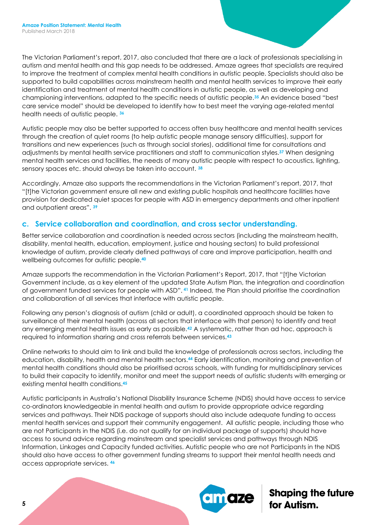The Victorian Parliament's report, 2017, also concluded that there are a lack of professionals specialising in autism and mental health and this gap needs to be addressed. Amaze agrees that specialists are required to improve the treatment of complex mental health conditions in autistic people. Specialists should also be supported to build capabilities across mainstream health and mental health services to improve their early identification and treatment of mental health conditions in autistic people, as well as developing and championing interventions, adapted to the specific needs of autistic people.**<sup>35</sup>** An evidence based "best care service model" should be developed to identify how to best meet the varying age-related mental health needs of autistic people. **<sup>36</sup>**

Autistic people may also be better supported to access often busy healthcare and mental health services through the creation of quiet rooms (to help autistic people manage sensory difficulties), support for transitions and new experiences (such as through social stories), additional time for consultations and adjustments by mental health service practitioners and staff to communication styles.**<sup>37</sup>** When designing mental health services and facilities, the needs of many autistic people with respect to acoustics, lighting, sensory spaces etc. should always be taken into account. **<sup>38</sup>**

Accordingly, Amaze also supports the recommendations in the Victorian Parliament's report, 2017, that "[t]he Victorian government ensure all new and existing public hospitals and healthcare facilities have provision for dedicated quiet spaces for people with ASD in emergency departments and other inpatient and outpatient areas". **<sup>39</sup>**

### **c. Service collaboration and coordination, and cross sector understanding.**

Better service collaboration and coordination is needed across sectors (including the mainstream health, disability, mental health, education, employment, justice and housing sectors) to build professional knowledge of autism, provide clearly defined pathways of care and improve participation, health and wellbeing outcomes for autistic people.**<sup>40</sup>**

Amaze supports the recommendation in the Victorian Parliament's Report, 2017, that "[t]he Victorian Government include, as a key element of the updated State Autism Plan, the integration and coordination of government funded services for people with ASD". **<sup>41</sup>** Indeed, the Plan should prioritise the coordination and collaboration of all services that interface with autistic people.

Following any person's diagnosis of autism (child or adult), a coordinated approach should be taken to surveillance of their mental health (across all sectors that interface with that person) to identify and treat any emerging mental health issues as early as possible.**<sup>42</sup>** A systematic, rather than ad hoc, approach is required to information sharing and cross referrals between services.**<sup>43</sup>**

Online networks to should aim to link and build the knowledge of professionals across sectors, including the education, disability, health and mental health sectors.**<sup>44</sup>** Early identification, monitoring and prevention of mental health conditions should also be prioritised across schools, with funding for multidisciplinary services to build their capacity to identify, monitor and meet the support needs of autistic students with emerging or existing mental health conditions.**<sup>45</sup>**

Autistic participants in Australia's National Disability Insurance Scheme (NDIS) should have access to service co-ordinators knowledgeable in mental health and autism to provide appropriate advice regarding services and pathways. Their NDIS package of supports should also include adequate funding to access mental health services and support their community engagement. All autistic people, including those who are not Participants in the NDIS (i.e. do not qualify for an individual package of supports) should have access to sound advice regarding mainstream and specialist services and pathways through NDIS Information, Linkages and Capacity funded activities. Autistic people who are not Participants in the NDIS should also have access to other government funding streams to support their mental health needs and access appropriate services. **46**

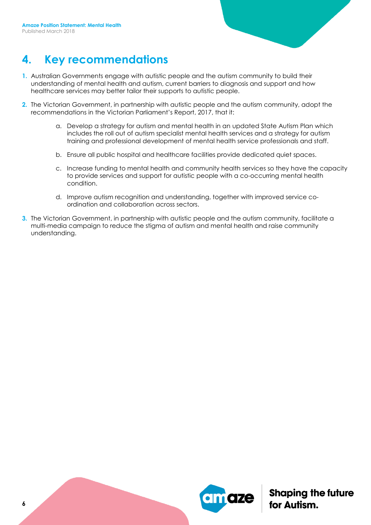### **4. Key recommendations**

- **1.** Australian Governments engage with autistic people and the autism community to build their understanding of mental health and autism, current barriers to diagnosis and support and how healthcare services may better tailor their supports to autistic people.
- **2.** The Victorian Government, in partnership with autistic people and the autism community, adopt the recommendations in the Victorian Parliament's Report, 2017, that it:
	- a. Develop a strategy for autism and mental health in an updated State Autism Plan which includes the roll out of autism specialist mental health services and a strategy for autism training and professional development of mental health service professionals and staff.
	- b. Ensure all public hospital and healthcare facilities provide dedicated quiet spaces.
	- c. Increase funding to mental health and community health services so they have the capacity to provide services and support for autistic people with a co-occurring mental health condition.
	- d. Improve autism recognition and understanding, together with improved service coordination and collaboration across sectors.
- **3.** The Victorian Government, in partnership with autistic people and the autism community, facilitate a multi-media campaign to reduce the stigma of autism and mental health and raise community understanding.

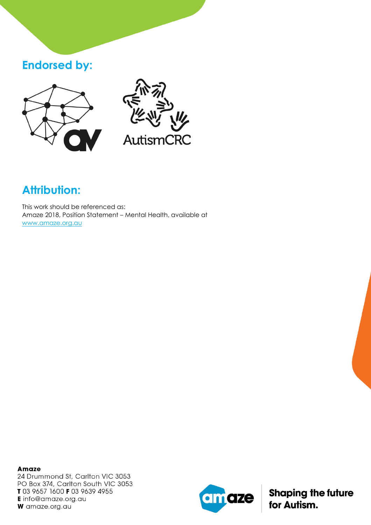### **Endorsed by:**





## **Attribution:**

This work should be referenced as: Amaze 2018, Position Statement – Mental Health, available at [www.amaze.org.au](http://www.amaze.org.au/)

**Amaze** 24 Drummond St, Carlton VIC 3053 PO Box 374, Carlton South VIC 3053 T 03 9657 1600 F 03 9639 4955 **E** info@amaze.org.au W amaze.org.au

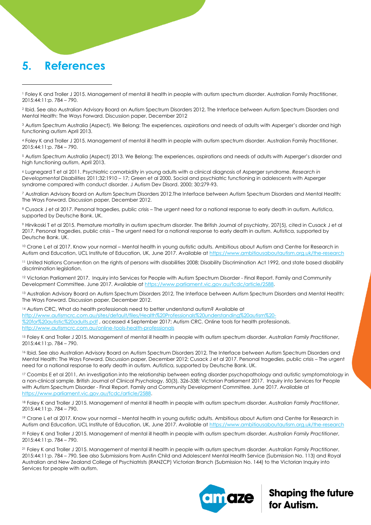### **5. References**

 $\overline{a}$ 

<sup>2</sup> Ibid. See also Australian Advisory Board on Autism Spectrum Disorders 2012, The Interface between Autism Spectrum Disorders and Mental Health: The Ways Forward. Discussion paper, December 2012

<sup>3</sup> Autism Spectrum Australia (Aspect). We Belong: The experiences, aspirations and needs of adults with Asperger's disorder and high functioning autism April 2013.

<sup>4</sup> Foley K and Troller J 2015. Management of mental ill health in people with autism spectrum disorder. Australian Family Practitioner, 2015:44:11:p. 784 – 790.

<sup>5</sup> Autism Spectrum Australia (Aspect) 2013. We Belong: The experiences, aspirations and needs of adults with Asperger's disorder and high functioning autism, April 2013.

<sup>6</sup> Lugnegard T et al 2011. Psychiatric comorbidity in young adults with a clinical diagnosis of Asperger syndrome. *Research in Developmental Disabilities* 2011;32:1910 – 17; Green et al 2000. Social and psychiatric functioning in adolescents with Asperger syndrome compared with conduct disorder. J Autism Dev Disord. 2000; 30:279-93.

<sup>7</sup> Australian Advisory Board on Autism Spectrum Disorders 2012.The Interface between Autism Spectrum Disorders and Mental Health: The Ways Forward. Discussion paper, December 2012.

8 Cusack J et al 2017. Personal tragedies, public crisis – The urgent need for a national response to early death in autism. Autistica, supported by Deutsche Bank. UK.

<sup>9</sup> Hirvikoski T et al 2015. Premature mortality in autism spectrum disorder. The British Journal of psychiatry, 207(5), cited in Cusack J et al 2017. Personal tragedies, public crisis – The urgent need for a national response to early death in autism. Autistica, supported by Deutsche Bank. UK.

<sup>10</sup> Crane L et al 2017. Know your normal – Mental health in young autistic adults. Ambitious about Autism and Centre for Research in Autism and Education, UCL Institute of Education, UK, June 2017. Available at<https://www.ambitiousaboutautism.org.uk/the-research>

<sup>11</sup> United Nations Convention on the rights of persons with disabilities 2008; Disability Discrimination Act 1992, and state based disability discrimination legislation.

<sup>12</sup> Victorian Parliament 2017. Inquiry into Services for People with Autism Spectrum Disorder - Final Report. Family and Community Development Committee. June 2017. Available a[t https://www.parliament.vic.gov.au/fcdc/article/2588.](https://www.parliament.vic.gov.au/fcdc/article/2588)

13 Australian Advisory Board on Autism Spectrum Disorders 2012, The Interface between Autism Spectrum Disorders and Mental Health: The Ways Forward. Discussion paper, December 2012.

<sup>14</sup> Autism CRC, What do health professionals need to better understand autism? Available at [http://www.autismcrc.com.au/sites/default/files/Health%20Professionals%20understanding%20autism%20-](http://www.autismcrc.com.au/sites/default/files/Health%20Professionals%20understanding%20autism%20-%20for%20autistic%20adults.pdf) [%20for%20autistic%20adults.pdf](http://www.autismcrc.com.au/sites/default/files/Health%20Professionals%20understanding%20autism%20-%20for%20autistic%20adults.pdf) , accessed 4 September 2017; Autism CRC. Online tools for health professionals. <http://www.autismcrc.com.au/online-tools-health-professionals>

<sup>15</sup> Foley K and Troller J 2015. Management of mental ill health in people with autism spectrum disorder. *Australian Family Practitioner*, 2015:44:11:p. 784 – 790.

<sup>16</sup> Ibid. See also Australian Advisory Board on Autism Spectrum Disorders 2012, The Interface between Autism Spectrum Disorders and Mental Health: The Ways Forward. Discussion paper, December 2012; Cusack J et al 2017. Personal tragedies, public crisis – The urgent need for a national response to early death in autism. Autistica, supported by Deutsche Bank. UK.

<sup>17</sup> Coombs E et al 2011, An investigation into the relationship between eating disorder psychopathology and autistic symptomatology in a non-clinical sample. British Journal of Clinical Psychology, 50(3), 326-338; Victorian Parliament 2017. Inquiry into Services for People with Autism Spectrum Disorder - Final Report. Family and Community Development Committee. June 2017. Available at [https://www.parliament.vic.gov.au/fcdc/article/2588.](https://www.parliament.vic.gov.au/fcdc/article/2588)

<sup>18</sup> Foley K and Troller J 2015. Management of mental ill health in people with autism spectrum disorder. *Australian Family Practitioner*, 2015:44:11:p. 784 – 790.

<sup>19</sup> Crane L et al 2017. Know your normal – Mental health in young autistic adults. Ambitious about Autism and Centre for Research in Autism and Education, UCL Institute of Education, UK, June 2017. Available at<https://www.ambitiousaboutautism.org.uk/the-research>

<sup>20</sup> Foley K and Troller J 2015. Management of mental ill health in people with autism spectrum disorder. *Australian Family Practitioner*, 2015:44:11:p. 784 – 790.

<sup>21</sup> Foley K and Troller J 2015. Management of mental ill health in people with autism spectrum disorder. *Australian Family Practitioner*, 2015:44:11:p. 784 – 790. See also Submissions from Austin Child and Adolescent Mental Health Service (Submission No. 113) and Royal Australian and New Zealand College of Psychiatrists (RANZCP) Victorian Branch (Submission No. 144) to the Victorian Inquiry into Services for people with autism.



<sup>1</sup> Foley K and Troller J 2015. Management of mental ill health in people with autism spectrum disorder. Australian Family Practitioner, 2015:44:11:p. 784 – 790.